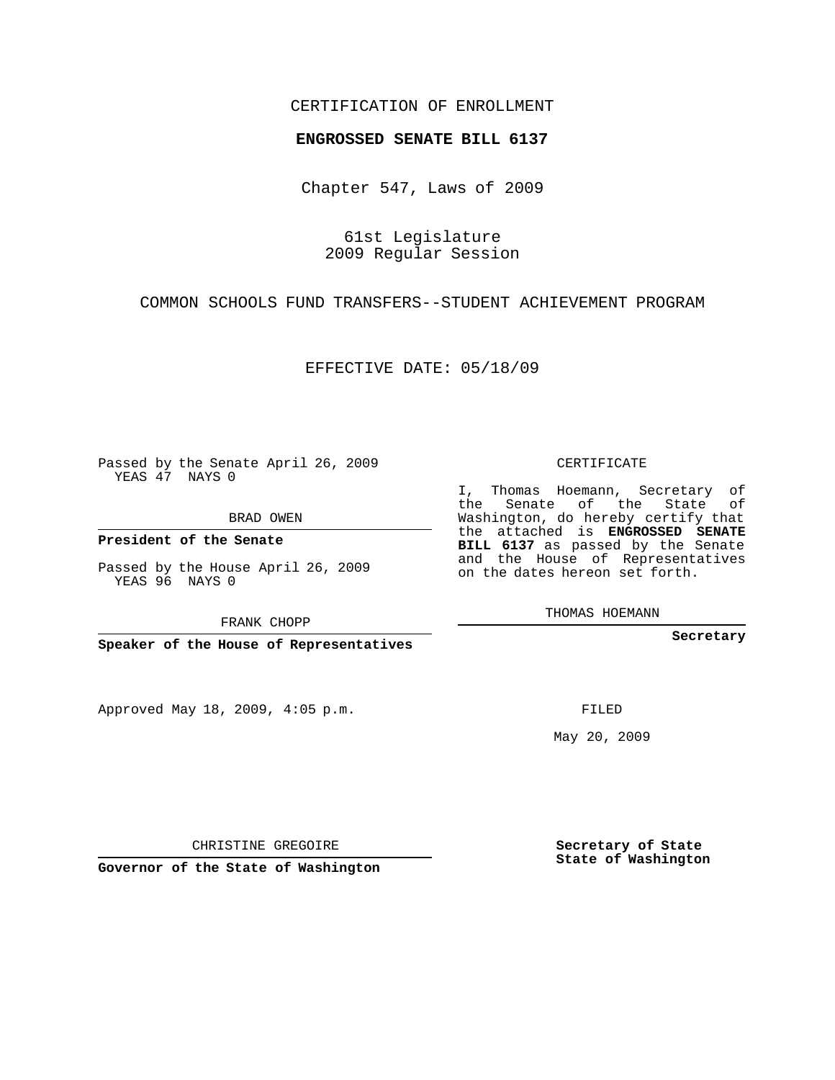## CERTIFICATION OF ENROLLMENT

## **ENGROSSED SENATE BILL 6137**

Chapter 547, Laws of 2009

61st Legislature 2009 Regular Session

COMMON SCHOOLS FUND TRANSFERS--STUDENT ACHIEVEMENT PROGRAM

EFFECTIVE DATE: 05/18/09

Passed by the Senate April 26, 2009 YEAS 47 NAYS 0

BRAD OWEN

**President of the Senate**

Passed by the House April 26, 2009 YEAS 96 NAYS 0

FRANK CHOPP

**Speaker of the House of Representatives**

Approved May 18, 2009, 4:05 p.m.

CERTIFICATE

I, Thomas Hoemann, Secretary of the Senate of the State of Washington, do hereby certify that the attached is **ENGROSSED SENATE BILL 6137** as passed by the Senate and the House of Representatives on the dates hereon set forth.

THOMAS HOEMANN

**Secretary**

FILED

May 20, 2009

**Secretary of State State of Washington**

CHRISTINE GREGOIRE

**Governor of the State of Washington**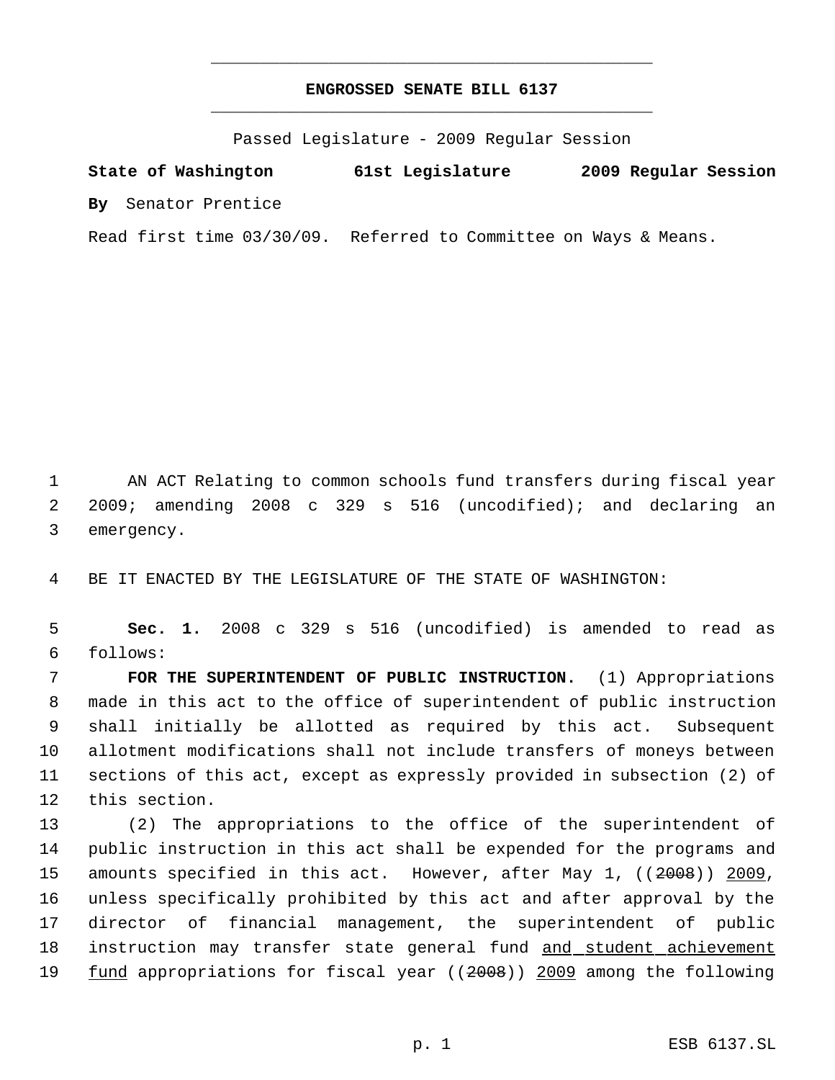## **ENGROSSED SENATE BILL 6137** \_\_\_\_\_\_\_\_\_\_\_\_\_\_\_\_\_\_\_\_\_\_\_\_\_\_\_\_\_\_\_\_\_\_\_\_\_\_\_\_\_\_\_\_\_

\_\_\_\_\_\_\_\_\_\_\_\_\_\_\_\_\_\_\_\_\_\_\_\_\_\_\_\_\_\_\_\_\_\_\_\_\_\_\_\_\_\_\_\_\_

Passed Legislature - 2009 Regular Session

**State of Washington 61st Legislature 2009 Regular Session By** Senator Prentice

Read first time 03/30/09. Referred to Committee on Ways & Means.

1 AN ACT Relating to common schools fund transfers during fiscal year 2 2009; amending 2008 c 329 s 516 (uncodified); and declaring an 3 emergency.

4 BE IT ENACTED BY THE LEGISLATURE OF THE STATE OF WASHINGTON:

 5 **Sec. 1.** 2008 c 329 s 516 (uncodified) is amended to read as 6 follows:

 **FOR THE SUPERINTENDENT OF PUBLIC INSTRUCTION.** (1) Appropriations made in this act to the office of superintendent of public instruction shall initially be allotted as required by this act. Subsequent allotment modifications shall not include transfers of moneys between sections of this act, except as expressly provided in subsection (2) of this section.

 (2) The appropriations to the office of the superintendent of public instruction in this act shall be expended for the programs and amounts specified in this act. However, after May 1, ((2008)) 2009, unless specifically prohibited by this act and after approval by the director of financial management, the superintendent of public 18 instruction may transfer state general fund and student achievement 19 fund appropriations for fiscal year ((2008)) 2009 among the following